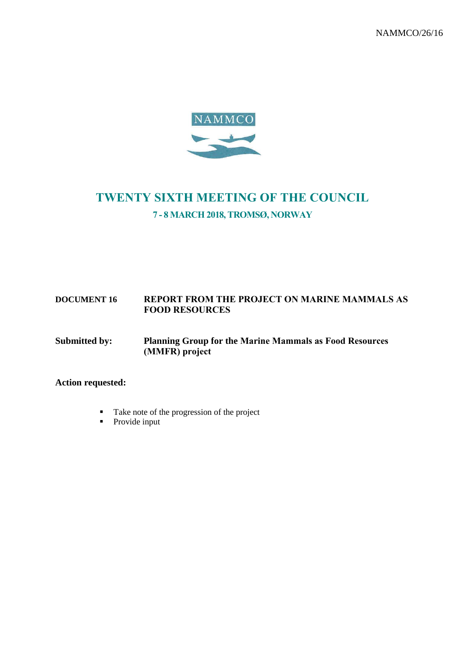NAMMCO/26/16



# TWENTY SIXTH MEETING OF THE COUNCIL 7 - 8 MARCH 2018, TROMSØ, NORWAY

#### **DOCUMENT 16** REPORT FROM THE PROJECT ON MARINE MAMMALS AS FOOD RESOURCES

#### **Submitted by: Planning Group for the** Marine Mammals as Food Resources (MMFR) project

### **Action requested:**

- Take note of the progression of the project
- Provide input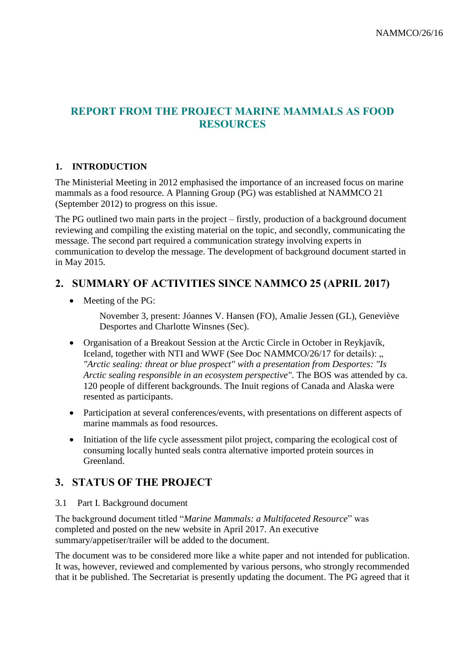### REPORT FROM THE PROJECT MARINE MAMMALS AS FOOD RESOURCES

#### **1. INTRODUCTION**

The Ministerial Meeting in 2012 emphasised the importance of an increased focus on marine mammals as a food resource. A Planning Group (PG) was established at NAMMCO 21 (September 2012) to progress on this issue.

The PG outlined two main parts in the project – firstly, production of a background document reviewing and compiling the existing material on the topic, and secondly, communicating the message. The second part required a communication strategy involving experts in communication to develop the message. The development of background document started in in May 2015.

## 2. SUMMARY OF ACTIVITIES SINCE NAMMCO 25 (APRIL 2017)

• Meeting of the PG:

November 3, present: Jóannes V. Hansen (FO), Amalie Jessen (GL), Geneviève Desportes and Charlotte Winsnes (Sec).

- Organisation of a Breakout Session at the Arctic Circle in October in Reykjavík, Iceland, together with NTI and WWF (See Doc NAMMCO/26/17 for details): , *"Arctic sealing: threat or blue prospect" with a presentation from Desportes: "Is Arctic sealing responsible in an ecosystem perspective".* The BOS was attended by ca. 120 people of different backgrounds. The Inuit regions of Canada and Alaska were resented as participants.
- Participation at several conferences/events, with presentations on different aspects of marine mammals as food resources.
- Initiation of the life cycle assessment pilot project, comparing the ecological cost of consuming locally hunted seals contra alternative imported protein sources in Greenland.

### 3. STATUS OF THE PROJECT

#### 3.1 Part I. Background document

The background document titled "*Marine Mammals: a Multifaceted Resource*" was completed and posted on the new website in April 2017. An executive summary/appetiser/trailer will be added to the document.

The document was to be considered more like a white paper and not intended for publication. It was, however, reviewed and complemented by various persons, who strongly recommended that it be published. The Secretariat is presently updating the document. The PG agreed that it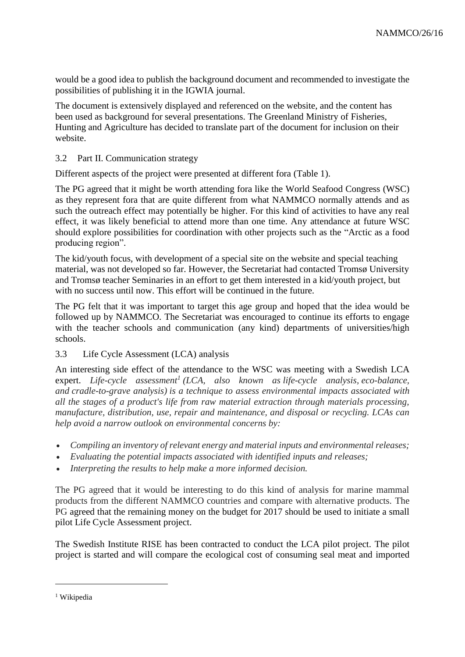would be a good idea to publish the background document and recommended to investigate the possibilities of publishing it in the IGWIA journal.

The document is extensively displayed and referenced on the website, and the content has been used as background for several presentations. The Greenland Ministry of Fisheries, Hunting and Agriculture has decided to translate part of the document for inclusion on their website.

#### 3.2 Part II. Communication strategy

Different aspects of the project were presented at different fora (Table 1).

The PG agreed that it might be worth attending fora like the World Seafood Congress (WSC) as they represent fora that are quite different from what NAMMCO normally attends and as such the outreach effect may potentially be higher. For this kind of activities to have any real effect, it was likely beneficial to attend more than one time. Any attendance at future WSC should explore possibilities for coordination with other projects such as the "Arctic as a food producing region".

The kid/youth focus, with development of a special site on the website and special teaching material, was not developed so far. However, the Secretariat had contacted Tromsø University and Tromsø teacher Seminaries in an effort to get them interested in a kid/youth project, but with no success until now. This effort will be continued in the future.

The PG felt that it was important to target this age group and hoped that the idea would be followed up by NAMMCO. The Secretariat was encouraged to continue its efforts to engage with the teacher schools and communication (any kind) departments of universities/high schools.

#### 3.3 Life Cycle Assessment (LCA) analysis

An interesting side effect of the attendance to the WSC was meeting with a Swedish LCA expert. *Life-cycle assessment<sup>1</sup> (LCA, also known as life-cycle analysis, eco-balance, and cradle-to-grave analysis) is a technique to assess environmental impacts associated with all the stages of a product's life from raw material extraction through materials processing, manufacture, distribution, use, repair and maintenance, and disposal or recycling. LCAs can help avoid a narrow outlook on environmental concerns by:*

- *Compiling an inventory of relevant energy and material inputs and environmental releases;*
- *Evaluating the potential impacts associated with identified inputs and releases;*
- *Interpreting the results to help make a more informed decision.*

The PG agreed that it would be interesting to do this kind of analysis for marine mammal products from the different NAMMCO countries and compare with alternative products. The PG agreed that the remaining money on the budget for 2017 should be used to initiate a small pilot Life Cycle Assessment project.

The Swedish Institute RISE has been contracted to conduct the LCA pilot project. The pilot project is started and will compare the ecological cost of consuming seal meat and imported

1

<sup>&</sup>lt;sup>1</sup> Wikipedia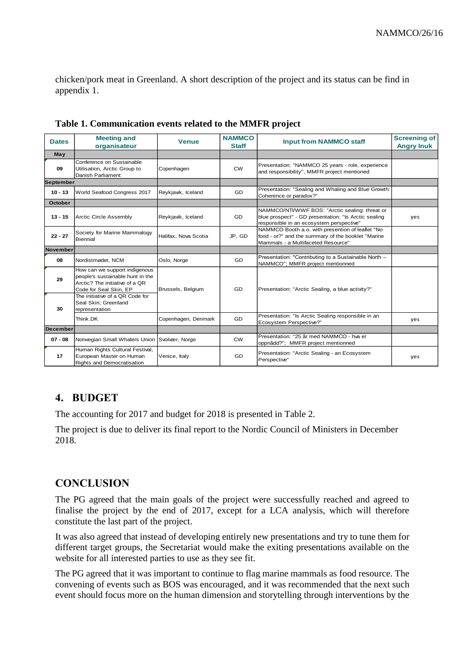chicken/pork meat in Greenland. A short description of the project and its status can be find in appendix 1.

| <b>Dates</b>     | <b>Meeting and</b><br>organisateur                                                                                                                               | <b>Venue</b>         | <b>NAMMCO</b><br><b>Staff</b> | <b>Input from NAMMCO staff</b>                                                                                                                     | <b>Screening of</b><br><b>Angry Inuk</b> |
|------------------|------------------------------------------------------------------------------------------------------------------------------------------------------------------|----------------------|-------------------------------|----------------------------------------------------------------------------------------------------------------------------------------------------|------------------------------------------|
| May              |                                                                                                                                                                  |                      |                               |                                                                                                                                                    |                                          |
| 09               | Conference on Sustainable<br>Utilisation, Arctic Group to<br>Danish Parliament                                                                                   | Copenhagen           | <b>CW</b>                     | Presentation: "NAMMCO 25 years - role, experience<br>and responsibility", MMFR project mentioned                                                   |                                          |
| <b>September</b> |                                                                                                                                                                  |                      |                               |                                                                                                                                                    |                                          |
| $10 - 13$        | World Seafood Congress 2017                                                                                                                                      | Reykjavik, Iceland   | GD                            | Presentation: "Sealing and Whaling and Blue Growth:<br>Coherence or paradox?"                                                                      |                                          |
| <b>October</b>   |                                                                                                                                                                  |                      |                               |                                                                                                                                                    |                                          |
| $13 - 15$        | <b>Arctic Circle Assembly</b>                                                                                                                                    | Reykjavik, Iceland   | <b>GD</b>                     | NAMMCO/NTI/WWF BOS: "Arctic sealing: threat or<br>blue prospect" - GD presentation: "Is Arctic sealing<br>responsible in an ecosystem perspective" | yes                                      |
| $22 - 27$        | Society for Marine Mammalogy<br>Biennial                                                                                                                         | Halifax, Nova Scotia | JP, GD                        | NAMMCO Booth a.o. with presention of leaflet "No<br>food - or?" and the summary of the booklet "Marine<br>Mammals - a Multifaceted Resource"       |                                          |
| November         |                                                                                                                                                                  |                      |                               |                                                                                                                                                    |                                          |
| 08               | Nordistmødet, NCM                                                                                                                                                | Oslo, Norge          | GD                            | Presentation: "Contributing to a Sustainable North -<br>NAMMCO"; MMFR project mentionned                                                           |                                          |
| 29               | How can we support indigenous<br>people's sustainable hunt in the<br>Arctic? The initiative of a QR<br>Code for Seal Skin, EP<br>The initiative of a QR Code for | Brussels, Belgium    | GD                            | Presentation: "Arctic Sealing, a blue activity?"                                                                                                   |                                          |
| 30               | Seal Skin: Greenland<br>representation                                                                                                                           |                      |                               |                                                                                                                                                    |                                          |
|                  | Think.DK                                                                                                                                                         | Copenhagen, Denmark  | <b>GD</b>                     | Presentation: "Is Arctic Sealing responsible in an<br>Ecosystem Perspective?"                                                                      | yes                                      |
| <b>December</b>  |                                                                                                                                                                  |                      |                               |                                                                                                                                                    |                                          |
| $07 - 08$        | Norwegian Small Whalers Union Svolvær, Norge                                                                                                                     |                      | <b>CW</b>                     | Presentation: "25 år med NAMMCO - hva er<br>oppnådd?"; MMFR project mentionned                                                                     |                                          |
| 17               | Human Rights Cultural Festival,<br>European Master on Human<br>Rights and Democratisation                                                                        | Venice, Italy        | GD                            | Presentation: "Arctic Sealing - an Ecosystem<br>Perspective"                                                                                       | yes                                      |

**Table 1. Communication events related to the MMFR project**

### 4. BUDGET

The accounting for 2017 and budget for 2018 is presented in Table 2.

The project is due to deliver its final report to the Nordic Council of Ministers in December 2018.

### **CONCLUSION**

The PG agreed that the main goals of the project were successfully reached and agreed to finalise the project by the end of 2017, except for a LCA analysis, which will therefore constitute the last part of the project.

It was also agreed that instead of developing entirely new presentations and try to tune them for different target groups, the Secretariat would make the exiting presentations available on the website for all interested parties to use as they see fit.

The PG agreed that it was important to continue to flag marine mammals as food resource. The convening of events such as BOS was encouraged, and it was recommended that the next such event should focus more on the human dimension and storytelling through interventions by the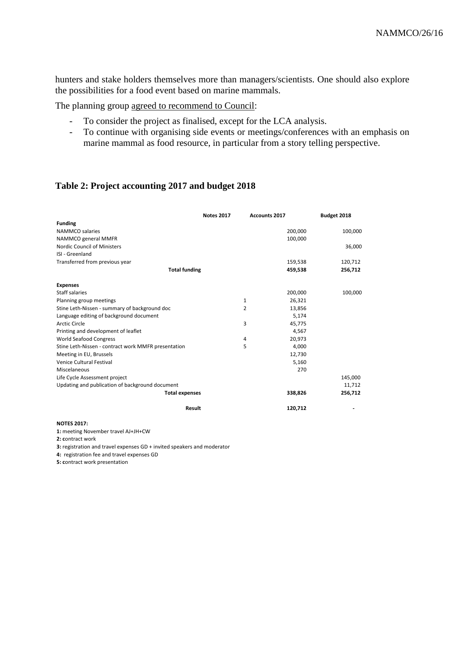hunters and stake holders themselves more than managers/scientists. One should also explore the possibilities for a food event based on marine mammals.

The planning group agreed to recommend to Council:

- To consider the project as finalised, except for the LCA analysis.
- To continue with organising side events or meetings/conferences with an emphasis on marine mammal as food resource, in particular from a story telling perspective.

#### **Table 2: Project accounting 2017 and budget 2018**

|                                                     | <b>Notes 2017</b> | <b>Accounts 2017</b> |         | Budget 2018 |
|-----------------------------------------------------|-------------------|----------------------|---------|-------------|
| <b>Funding</b>                                      |                   |                      |         |             |
| NAMMCO salaries                                     |                   |                      | 200,000 | 100,000     |
| NAMMCO general MMFR                                 |                   |                      | 100,000 |             |
| Nordic Council of Ministers                         |                   |                      |         | 36,000      |
| ISI - Greenland                                     |                   |                      |         |             |
| Transferred from previous year                      |                   |                      | 159,538 | 120,712     |
| <b>Total funding</b>                                |                   |                      | 459,538 | 256,712     |
| <b>Expenses</b>                                     |                   |                      |         |             |
| <b>Staff salaries</b>                               |                   |                      | 200,000 | 100,000     |
| Planning group meetings                             |                   | 1                    | 26,321  |             |
| Stine Leth-Nissen - summary of background doc       |                   | 2                    | 13,856  |             |
| Language editing of background document             |                   |                      | 5,174   |             |
| <b>Arctic Circle</b>                                |                   | 3                    | 45,775  |             |
| Printing and development of leaflet                 |                   |                      | 4,567   |             |
| <b>World Seafood Congress</b>                       |                   | 4                    | 20,973  |             |
| Stine Leth-Nissen - contract work MMFR presentation |                   | 5                    | 4,000   |             |
| Meeting in EU, Brussels                             |                   |                      | 12,730  |             |
| Venice Cultural Festival                            |                   |                      | 5,160   |             |
| Miscelaneous                                        |                   |                      | 270     |             |
| Life Cycle Assessment project                       |                   |                      |         | 145,000     |
| Updating and publication of background document     |                   |                      |         | 11,712      |
| <b>Total expenses</b>                               |                   |                      | 338,826 | 256,712     |
| Result                                              |                   |                      | 120,712 |             |

#### **NOTES 2017:**

**1:** meeting November travel AJ+JH+CW

**2: c**ontract work

**3:** registration and travel expenses GD + invited speakers and moderator

**4:** registration fee and travel expenses GD

**5: c**ontract work presentation